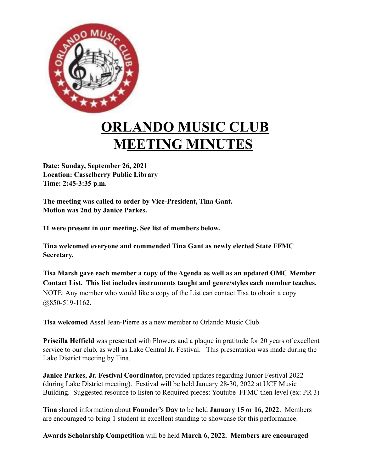

## **ORLANDO MUSIC CLUB MEETING MINUTES**

**Date: Sunday, September 26, 2021 Location: Casselberry Public Library Time: 2:45-3:35 p.m.**

**The meeting was called to order by Vice-President, Tina Gant. Motion was 2nd by Janice Parkes.**

**11 were present in our meeting. See list of members below.**

**Tina welcomed everyone and commended Tina Gant as newly elected State FFMC Secretary.**

**Tisa Marsh gave each member a copy of the Agenda as well as an updated OMC Member Contact List. This list includes instruments taught and genre/styles each member teaches.** NOTE: Any member who would like a copy of the List can contact Tisa to obtain a copy @850-519-1162.

**Tisa welcomed** Assel Jean-Pierre as a new member to Orlando Music Club.

**Priscilla Heffield** was presented with Flowers and a plaque in gratitude for 20 years of excellent service to our club, as well as Lake Central Jr. Festival. This presentation was made during the Lake District meeting by Tina.

**Janice Parkes, Jr. Festival Coordinator,** provided updates regarding Junior Festival 2022 (during Lake District meeting). Festival will be held January 28-30, 2022 at UCF Music Building. Suggested resource to listen to Required pieces: Youtube FFMC then level (ex: PR 3)

**Tina** shared information about **Founder's Day** to be held **January 15 or 16, 2022**. Members are encouraged to bring 1 student in excellent standing to showcase for this performance.

**Awards Scholarship Competition** will be held **March 6, 2022. Members are encouraged**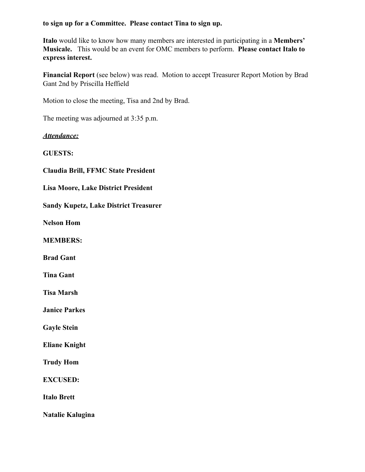## **to sign up for a Committee. Please contact Tina to sign up.**

**Italo** would like to know how many members are interested in participating in a **Members' Musicale.** This would be an event for OMC members to perform. **Please contact Italo to express interest.**

**Financial Report** (see below) was read. Motion to accept Treasurer Report Motion by Brad Gant 2nd by Priscilla Heffield

Motion to close the meeting, Tisa and 2nd by Brad.

The meeting was adjourned at 3:35 p.m.

*Attendance:*

**GUESTS:**

**Claudia Brill, FFMC State President**

**Lisa Moore, Lake District President**

**Sandy Kupetz, Lake District Treasurer**

**Nelson Hom**

**MEMBERS:**

**Brad Gant**

**Tina Gant**

**Tisa Marsh**

**Janice Parkes**

**Gayle Stein**

**Eliane Knight**

**Trudy Hom**

**EXCUSED:**

**Italo Brett**

**Natalie Kalugina**